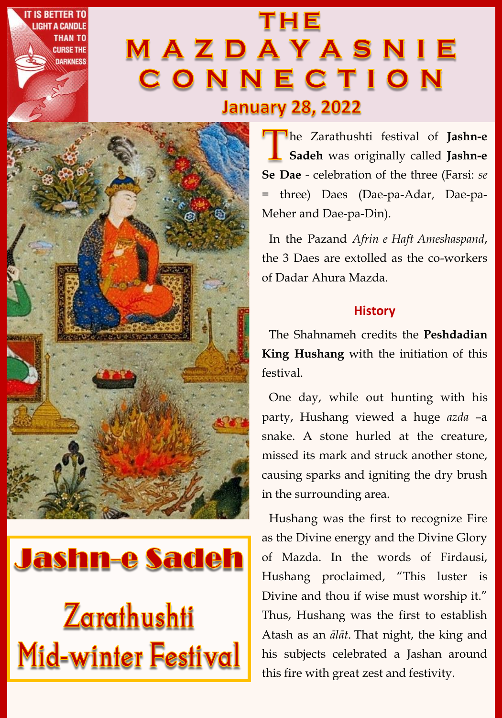# **THE** MAZDAYASNIE CONNECTION **January 28, 2022**



**IS BETTER TO** 

**HAN TO** 

**CURSE THE DARKNESS** 

**Jashn-e Sadeh Zarathushti** Mid-winter Festival

he Zarathushti festival of **Jashn-e Sadeh** was originally called **Jashn-e Se Dae** - celebration of the three (Farsi: *se*  = three) Daes (Dae-pa-Adar, Dae-pa-Meher and Dae-pa-Din).

In the Pazand *Afrin e Haft Ameshaspand*, the 3 Daes are extolled as the co-workers of Dadar Ahura Mazda.

# **History**

The Shahnameh credits the **Peshdadian King Hushang** with the initiation of this festival.

One day, while out hunting with his party, Hushang viewed a huge *azda* –a snake. A stone hurled at the creature, missed its mark and struck another stone, causing sparks and igniting the dry brush in the surrounding area.

Hushang was the first to recognize Fire as the Divine energy and the Divine Glory of Mazda. In the words of Firdausi, Hushang proclaimed, "This luster is Divine and thou if wise must worship it." Thus, Hushang was the first to establish Atash as an *ālāt*. That night, the king and his subjects celebrated a Jashan around this fire with great zest and festivity.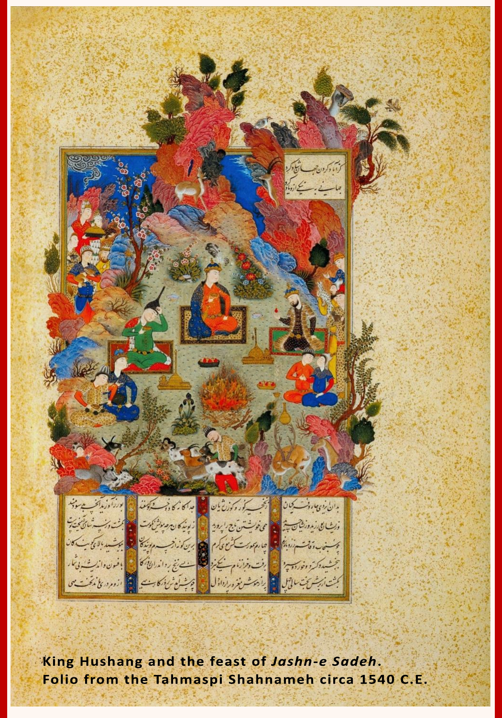

King Hushang and the feast of Jashn-e Sadeh. Folio from the Tahmaspi Shahnameh circa 1540 C.E.